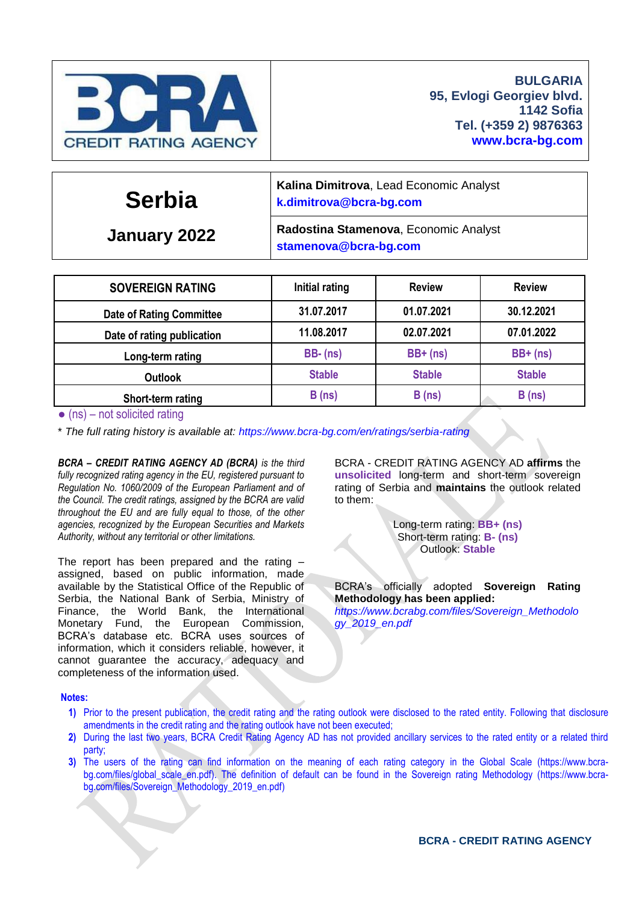

**Serbia**

**k[.dimitrova@bcra-bg.com](mailto:dimitrova@bcra-bg.com)**

**January 2022**

**Radostina Stamenova**, Economic Analyst **stamenov[a@bcra-bg.com](mailto:dimitrova@bcra-bg.com)**

**Kalina Dimitrova**, Lead Economic Analyst

| <b>SOVEREIGN RATING</b>         | Initial rating | <b>Review</b> | <b>Review</b> |
|---------------------------------|----------------|---------------|---------------|
| <b>Date of Rating Committee</b> | 31.07.2017     | 01.07.2021    | 30.12.2021    |
| Date of rating publication      | 11.08.2017     | 02.07.2021    | 07.01.2022    |
| Long-term rating                | $BB-(ns)$      | $BB+$ (ns)    | $BB+$ (ns)    |
| <b>Outlook</b>                  | <b>Stable</b>  | <b>Stable</b> | <b>Stable</b> |
| Short-term rating               | B(ns)          | B(ns)         | B(ns)         |

 $\bullet$  (ns) – not solicited rating

\* *The full rating history is available at:<https://www.bcra-bg.com/en/ratings/serbia-rating>*

*BCRA – CREDIT RATING AGENCY AD (BCRA) is the third fully recognized rating agency in the EU, registered pursuant to Regulation No. 1060/2009 of the European Parliament and of the Council. The credit ratings, assigned by the BCRA are valid throughout the EU and are fully equal to those, of the other agencies, recognized by the European Securities and Markets Authority, without any territorial or other limitations.*

The report has been prepared and the rating – assigned, based on public information, made available by the Statistical Office of the Republic of Serbia, the National Bank of Serbia, Ministry of Finance, the World Bank, the International Monetary Fund, the European Commission, BCRA's database etc. BCRA uses sources of information, which it considers reliable, however, it cannot guarantee the accuracy, adequacy and completeness of the information used.

BCRA - CREDIT RATING AGENCY AD **affirms** the **unsolicited** long-term and short-term sovereign rating of Serbia and **maintains** the outlook related to them:

> Long-term rating: **BB+ (ns)** Short-term rating: **B- (ns)** Outlook: **Stable**

BCRA's officially adopted **Sovereign Rating Methodology has been applied:** *[https://www.bcrabg.com/files/Sovereign\\_Methodolo](https://www.bcrabg.com/files/Sovereign_Methodology_2019_en.pdf) [gy\\_2019\\_en.pdf](https://www.bcrabg.com/files/Sovereign_Methodology_2019_en.pdf)*

#### **Notes:**

- **1)** Prior to the present publication, the credit rating and the rating outlook were disclosed to the rated entity. Following that disclosure amendments in the credit rating and the rating outlook have not been executed;
- **2)** During the last two years, BCRA Credit Rating Agency AD has not provided ancillary services to the rated entity or a related third party;
- **3)** The users of the rating can find information on the meaning of each rating category in the Global Scale [\(https://www.bcra](https://www.bcra-bg.com/files/global_scale_en.pdf)[bg.com/files/global\\_scale\\_en.pdf\)](https://www.bcra-bg.com/files/global_scale_en.pdf). The definition of default can be found in the Sovereign rating Methodology [\(https://www.bcra](https://www.bcra-bg.com/files/Sovereign_Methodology_2019_en.pdf)[bg.com/files/Sovereign\\_Methodology\\_2019\\_en.pdf\)](https://www.bcra-bg.com/files/Sovereign_Methodology_2019_en.pdf)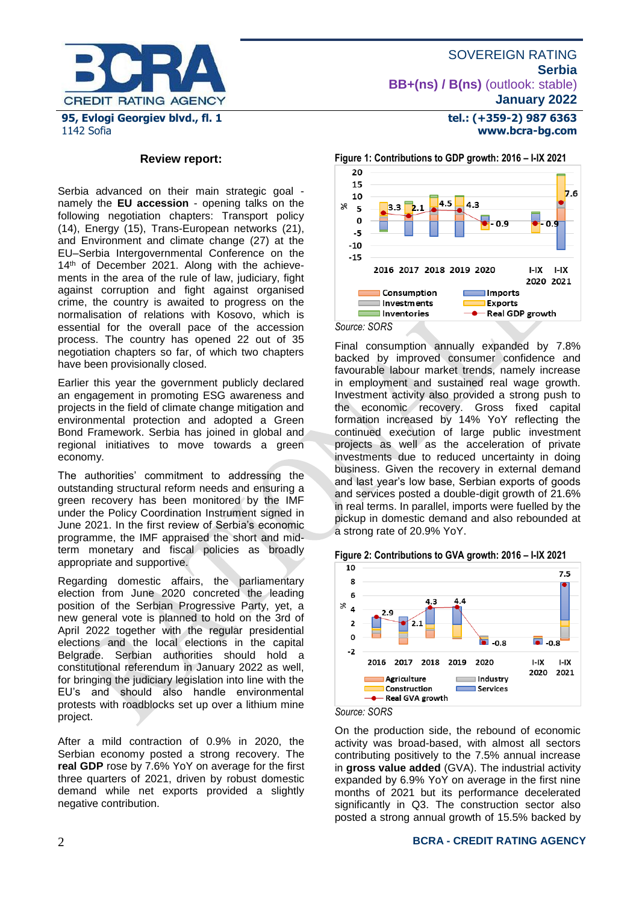

**tel.: (+359-2) 987 6363 www.bcra-bg.com** 

#### **Review report:**

Serbia advanced on their main strategic goal namely the **EU accession** - opening talks on the following negotiation chapters: Transport policy (14), Energy (15), Trans-European networks (21), and Environment and climate change (27) at the EU–Serbia Intergovernmental Conference on the 14<sup>th</sup> of December 2021. Along with the achievements in the area of the rule of law, judiciary, fight against corruption and fight against organised crime, the country is awaited to progress on the normalisation of relations with Kosovo, which is essential for the overall pace of the accession process. The country has opened 22 out of 35 negotiation chapters so far, of which two chapters have been provisionally closed.

Earlier this year the government publicly declared an engagement in promoting ESG awareness and projects in the field of climate change mitigation and environmental protection and adopted a Green Bond Framework. Serbia has joined in global and regional initiatives to move towards a green economy.

The authorities' commitment to addressing the outstanding structural reform needs and ensuring a green recovery has been monitored by the IMF under the Policy Coordination Instrument signed in June 2021. In the first review of Serbia's economic programme, the IMF appraised the short and midterm monetary and fiscal policies as broadly appropriate and supportive.

Regarding domestic affairs, the parliamentary election from June 2020 concreted the leading position of the Serbian Progressive Party, yet, a new general vote is planned to hold on the 3rd of April 2022 together with the regular presidential elections and the local elections in the capital Belgrade. Serbian authorities should hold a constitutional referendum in January 2022 as well, for bringing the judiciary legislation into line with the EU's and should also handle environmental protests with roadblocks set up over a lithium mine project.

After a mild contraction of 0.9% in 2020, the Serbian economy posted a strong recovery. The **real GDP** rose by 7.6% YoY on average for the first three quarters of 2021, driven by robust domestic demand while net exports provided a slightly negative contribution.



*Source: SORS*

Final consumption annually expanded by 7.8% backed by improved consumer confidence and favourable labour market trends, namely increase in employment and sustained real wage growth. Investment activity also provided a strong push to the economic recovery. Gross fixed capital formation increased by 14% YoY reflecting the continued execution of large public investment projects as well as the acceleration of private investments due to reduced uncertainty in doing business. Given the recovery in external demand and last year's low base, Serbian exports of goods and services posted a double-digit growth of 21.6% in real terms. In parallel, imports were fuelled by the pickup in domestic demand and also rebounded at a strong rate of 20.9% YoY.





On the production side, the rebound of economic activity was broad-based, with almost all sectors contributing positively to the 7.5% annual increase in **gross value added** (GVA). The industrial activity expanded by 6.9% YoY on average in the first nine months of 2021 but its performance decelerated significantly in Q3. The construction sector also posted a strong annual growth of 15.5% backed by

#### 2 **BCRA - CREDIT RATING AGENCY**

*Source: SORS*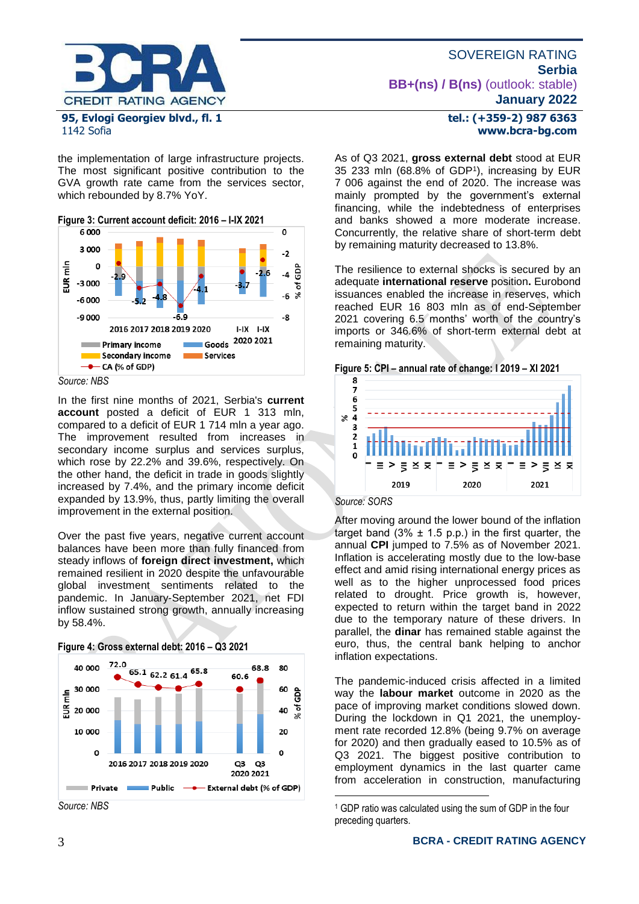

## the implementation of large infrastructure projects. The most significant positive contribution to the GVA growth rate came from the services sector, which rebounded by 8.7% YoY.



*Source: NBS*

In the first nine months of 2021, Serbia's **current account** posted a deficit of EUR 1 313 mln, compared to a deficit of EUR 1 714 mln a year ago. The improvement resulted from increases in secondary income surplus and services surplus, which rose by 22.2% and 39.6%, respectively. On the other hand, the deficit in trade in goods slightly increased by 7.4%, and the primary income deficit expanded by 13.9%, thus, partly limiting the overall improvement in the external position.

Over the past five years, negative current account balances have been more than fully financed from steady inflows of **foreign direct investment,** which remained resilient in 2020 despite the unfavourable global investment sentiments related to the pandemic. In January-September 2021, net FDI inflow sustained strong growth, annually increasing by 58.4%.



**Figure 4: Gross external debt: 2016 – Q3 2021**

## **tel.: (+359-2) 987 6363 www.bcra-bg.com**

As of Q3 2021, **gross external debt** stood at EUR 35 233 mln (68.8% of GDP<sup>1</sup> ), increasing by EUR 7 006 against the end of 2020. The increase was mainly prompted by the government's external financing, while the indebtedness of enterprises and banks showed a more moderate increase. Concurrently, the relative share of short-term debt by remaining maturity decreased to 13.8%.

The resilience to external shocks is secured by an adequate **international reserve** position**.** Eurobond issuances enabled the increase in reserves, which reached EUR 16 803 mln as of end-September 2021 covering 6.5 months' worth of the country's imports or 346.6% of short-term external debt at remaining maturity.



## *Source: SORS*

<u>.</u>

After moving around the lower bound of the inflation target band  $(3\% \pm 1.5 \text{ p.p.})$  in the first quarter, the annual **CPI** jumped to 7.5% as of November 2021. Inflation is accelerating mostly due to the low-base effect and amid rising international energy prices as well as to the higher unprocessed food prices related to drought. Price growth is, however, expected to return within the target band in 2022 due to the temporary nature of these drivers. In parallel, the **dinar** has remained stable against the euro, thus, the central bank helping to anchor inflation expectations.

The pandemic-induced crisis affected in a limited way the **labour market** outcome in 2020 as the pace of improving market conditions slowed down. During the lockdown in Q1 2021, the unemployment rate recorded 12.8% (being 9.7% on average for 2020) and then gradually eased to 10.5% as of Q3 2021. The biggest positive contribution to employment dynamics in the last quarter came from acceleration in construction, manufacturing

<sup>1</sup> GDP ratio was calculated using the sum of GDP in the four preceding quarters.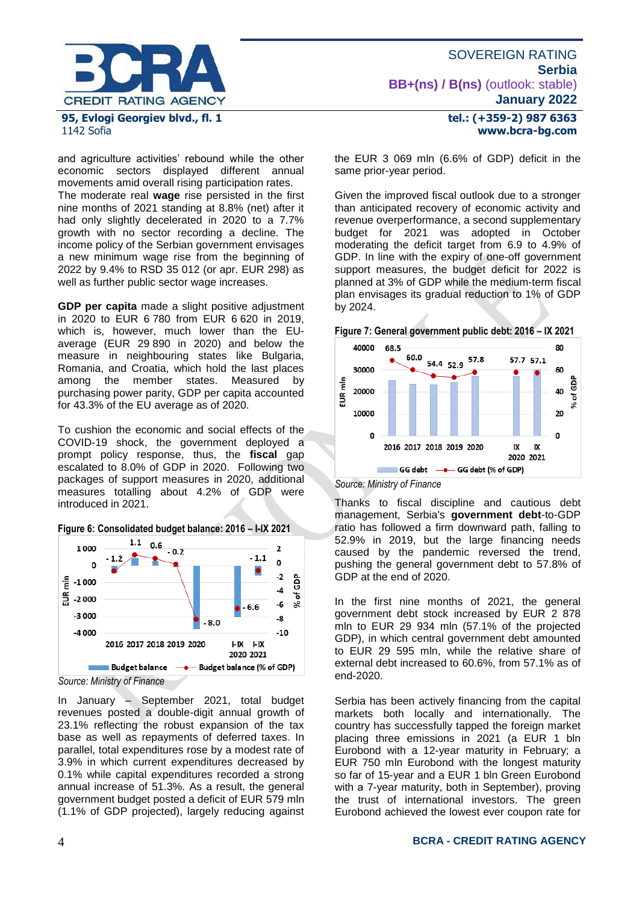

and agriculture activities' rebound while the other economic sectors displayed different annual movements amid overall rising participation rates.

The moderate real **wage** rise persisted in the first nine months of 2021 standing at 8.8% (net) after it had only slightly decelerated in 2020 to a 7.7% growth with no sector recording a decline. The income policy of the Serbian government envisages a new minimum wage rise from the beginning of 2022 by 9.4% to RSD 35 012 (or apr. EUR 298) as well as further public sector wage increases.

**GDP per capita** made a slight positive adjustment in 2020 to EUR 6 780 from EUR 6 620 in 2019, which is, however, much lower than the EUaverage (EUR 29 890 in 2020) and below the measure in neighbouring states like Bulgaria, Romania, and Croatia, which hold the last places among the member states. Measured by purchasing power parity, GDP per capita accounted for 43.3% of the EU average as of 2020.

To cushion the economic and social effects of the COVID-19 shock, the government deployed a prompt policy response, thus, the **fiscal** gap escalated to 8.0% of GDP in 2020. Following two packages of support measures in 2020, additional measures totalling about 4.2% of GDP were introduced in 2021.

**Figure 6: Consolidated budget balance: 2016 – I-IX 2021**



*Source: Ministry of Finance*

In January – September 2021, total budget revenues posted a double-digit annual growth of 23.1% reflecting the robust expansion of the tax base as well as repayments of deferred taxes. In parallel, total expenditures rose by a modest rate of 3.9% in which current expenditures decreased by 0.1% while capital expenditures recorded a strong annual increase of 51.3%. As a result, the general government budget posted a deficit of EUR 579 mln (1.1% of GDP projected), largely reducing against

# **January 2022 tel.: (+359-2) 987 6363 www.bcra-bg.com**

**BB+(ns) / B(ns)** (outlook: stable)

SOVEREIGN RATING

**Serbia**

the EUR 3 069 mln (6.6% of GDP) deficit in the same prior-year period.

Given the improved fiscal outlook due to a stronger than anticipated recovery of economic activity and revenue overperformance, a second supplementary budget for 2021 was adopted in October moderating the deficit target from 6.9 to 4.9% of GDP. In line with the expiry of one-off government support measures, the budget deficit for 2022 is planned at 3% of GDP while the medium-term fiscal plan envisages its gradual reduction to 1% of GDP by 2024.





*Source: Ministry of Finance*

Thanks to fiscal discipline and cautious debt management, Serbia's **government debt**-to-GDP ratio has followed a firm downward path, falling to 52.9% in 2019, but the large financing needs caused by the pandemic reversed the trend, pushing the general government debt to 57.8% of GDP at the end of 2020.

In the first nine months of 2021, the general government debt stock increased by EUR 2 878 mln to EUR 29 934 mln (57.1% of the projected GDP), in which central government debt amounted to EUR 29 595 mln, while the relative share of external debt increased to 60.6%, from 57.1% as of end-2020.

Serbia has been actively financing from the capital markets both locally and internationally. The country has successfully tapped the foreign market placing three emissions in 2021 (a EUR 1 bln Eurobond with a 12-year maturity in February; a EUR 750 mln Eurobond with the longest maturity so far of 15-year and a EUR 1 bln Green Eurobond with a 7-year maturity, both in September), proving the trust of international investors. The green Eurobond achieved the lowest ever coupon rate for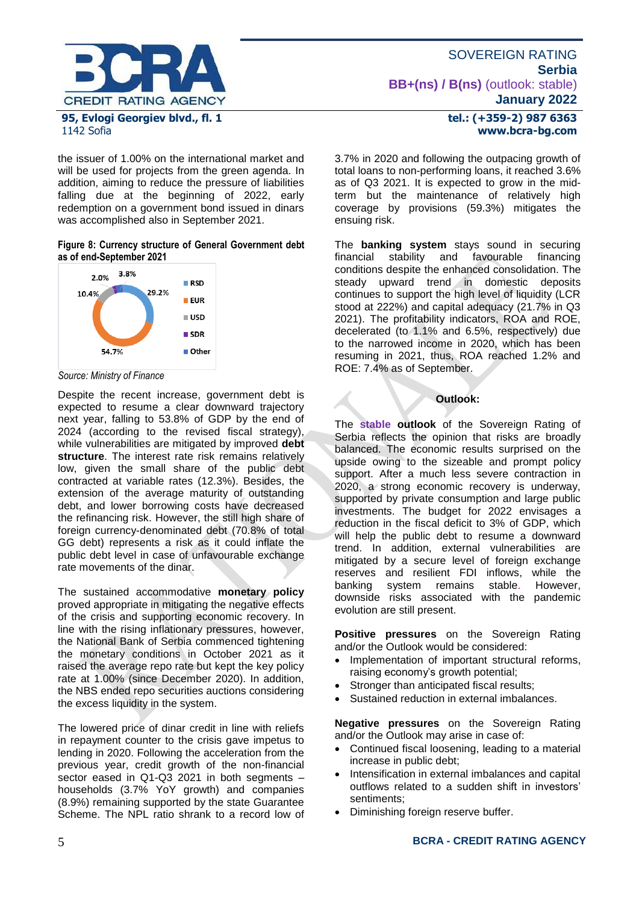

#### the issuer of 1.00% on the international market and will be used for projects from the green agenda. In addition, aiming to reduce the pressure of liabilities falling due at the beginning of 2022, early redemption on a government bond issued in dinars was accomplished also in September 2021.

#### **Figure 8: Currency structure of General Government debt as of end-September 2021**



*Source: Ministry of Finance*

Despite the recent increase, government debt is expected to resume a clear downward trajectory next year, falling to 53.8% of GDP by the end of 2024 (according to the revised fiscal strategy), while vulnerabilities are mitigated by improved **debt structure**. The interest rate risk remains relatively low, given the small share of the public debt contracted at variable rates (12.3%). Besides, the extension of the average maturity of outstanding debt, and lower borrowing costs have decreased the refinancing risk. However, the still high share of foreign currency-denominated debt (70.8% of total GG debt) represents a risk as it could inflate the public debt level in case of unfavourable exchange rate movements of the dinar.

The sustained accommodative **monetary policy** proved appropriate in mitigating the negative effects of the crisis and supporting economic recovery. In line with the rising inflationary pressures, however, the National Bank of Serbia commenced tightening the monetary conditions in October 2021 as it raised the average repo rate but kept the key policy rate at 1.00% (since December 2020). In addition, the NBS ended repo securities auctions considering the excess liquidity in the system.

The lowered price of dinar credit in line with reliefs in repayment counter to the crisis gave impetus to lending in 2020. Following the acceleration from the previous year, credit growth of the non-financial sector eased in Q1-Q3 2021 in both segments – households (3.7% YoY growth) and companies (8.9%) remaining supported by the state Guarantee Scheme. The NPL ratio shrank to a record low of 3.7% in 2020 and following the outpacing growth of total loans to non-performing loans, it reached 3.6% as of Q3 2021. It is expected to grow in the midterm but the maintenance of relatively high coverage by provisions (59.3%) mitigates the ensuing risk.

The **banking system** stays sound in securing stability and conditions despite the enhanced consolidation. The steady upward trend in domestic deposits continues to support the high level of liquidity (LCR stood at 222%) and capital adequacy (21.7% in Q3 2021). The profitability indicators, ROA and ROE, decelerated (to 1.1% and 6.5%, respectively) due to the narrowed income in 2020, which has been resuming in 2021, thus, ROA reached 1.2% and ROE: 7.4% as of September.

## **Outlook:**

The **stable outlook** of the Sovereign Rating of Serbia reflects the opinion that risks are broadly balanced. The economic results surprised on the upside owing to the sizeable and prompt policy support. After a much less severe contraction in 2020, a strong economic recovery is underway, supported by private consumption and large public investments. The budget for 2022 envisages a reduction in the fiscal deficit to 3% of GDP, which will help the public debt to resume a downward trend. In addition, external vulnerabilities are mitigated by a secure level of foreign exchange reserves and resilient FDI inflows, while the banking system remains stable. However, downside risks associated with the pandemic evolution are still present.

**Positive pressures** on the Sovereign Rating and/or the Outlook would be considered:

- Implementation of important structural reforms, raising economy's growth potential;
- Stronger than anticipated fiscal results;
- Sustained reduction in external imbalances.

**Negative pressures** on the Sovereign Rating and/or the Outlook may arise in case of:

- Continued fiscal loosening, leading to a material increase in public debt;
- Intensification in external imbalances and capital outflows related to a sudden shift in investors' sentiments;
- Diminishing foreign reserve buffer.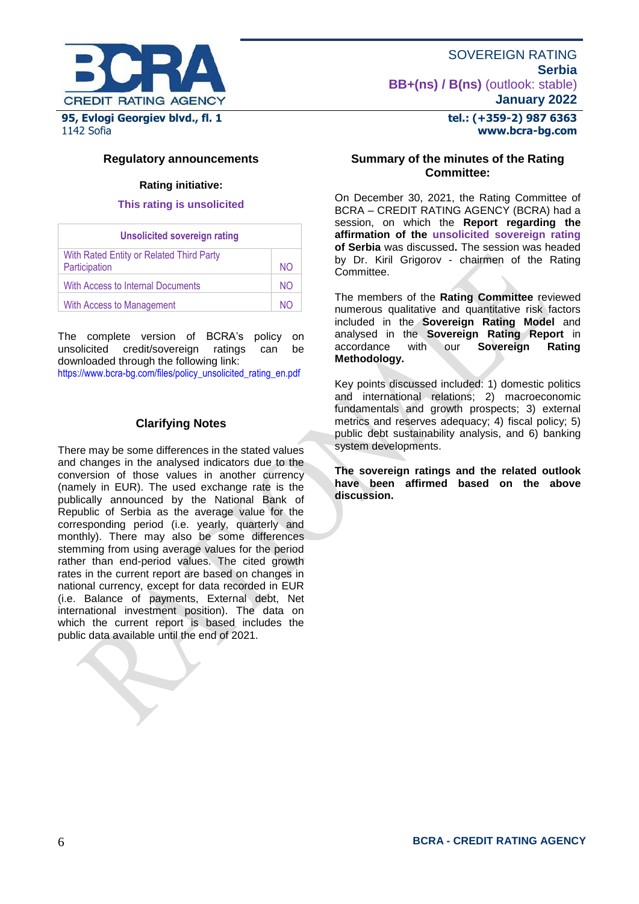

**Regulatory announcements**

## **Rating initiative:**

#### **This rating is unsolicited**

| <b>Unsolicited sovereign rating</b>                       |     |  |  |  |
|-----------------------------------------------------------|-----|--|--|--|
| With Rated Entity or Related Third Party<br>Participation | NO. |  |  |  |
| With Access to Internal Documents                         | NO. |  |  |  |
| <b>With Access to Management</b>                          | NΟ  |  |  |  |

The complete version of BCRA's policy on unsolicited credit/sovereign ratings can be downloaded through the following link:

[https://www.bcra-bg.com/files/policy\\_unsolicited\\_rating\\_en.pdf](https://www.bcra-bg.com/files/policy_unsolicited_rating_en.pdf)

## **Clarifying Notes**

There may be some differences in the stated values and changes in the analysed indicators due to the conversion of those values in another currency (namely in EUR). The used exchange rate is the publically announced by the National Bank of Republic of Serbia as the average value for the corresponding period (i.e. yearly, quarterly and monthly). There may also be some differences stemming from using average values for the period rather than end-period values. The cited growth rates in the current report are based on changes in national currency, except for data recorded in EUR (i.e. Balance of payments, External debt, Net international investment position). The data on which the current report is based includes the public data available until the end of 2021.

## **tel.: (+359-2) 987 6363 www.bcra-bg.com**

## **Summary of the minutes of the Rating Committee:**

On December 30, 2021, the Rating Committee of BCRA – CREDIT RATING AGENCY (BCRA) had a session, on which the **Report regarding the affirmation of the unsolicited sovereign rating of Serbia** was discussed**.** The session was headed by Dr. Kiril Grigorov - chairmen of the Rating Committee.

The members of the **Rating Committee** reviewed numerous qualitative and quantitative risk factors included in the **Sovereign Rating Model** and analysed in the **Sovereign Rating Report** in **Sovereign Methodology.**

Key points discussed included: 1) domestic politics and international relations; 2) macroeconomic fundamentals and growth prospects; 3) external metrics and reserves adequacy; 4) fiscal policy; 5) public debt sustainability analysis, and 6) banking system developments.

**The sovereign ratings and the related outlook have been affirmed based on the above discussion.**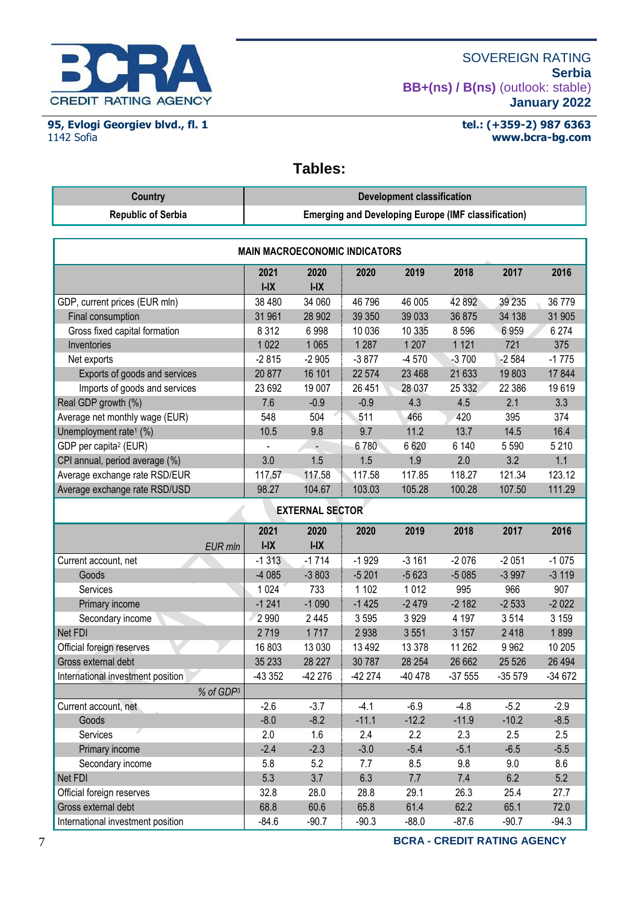

**95, Evlogi Georgiev blvd., fl. 1** 1142 Sofia

## **tel.: (+359-2) 987 6363 www.bcra-bg.com**

# **Tables:**

| <b>Country</b>                               | <b>Development classification</b>                          |                        |                   |         |                 |             |                |
|----------------------------------------------|------------------------------------------------------------|------------------------|-------------------|---------|-----------------|-------------|----------------|
| <b>Republic of Serbia</b>                    | <b>Emerging and Developing Europe (IMF classification)</b> |                        |                   |         |                 |             |                |
|                                              |                                                            |                        |                   |         |                 |             |                |
| <b>MAIN MACROECONOMIC INDICATORS</b>         |                                                            |                        |                   |         |                 |             |                |
|                                              | 2021                                                       | 2020                   | 2020              | 2019    | 2018            | 2017        | 2016           |
|                                              | $I-IX$<br>38 480                                           | $I-IX$                 | 46 796            | 46 005  | 42 892          | 39 235      | 36779          |
| GDP, current prices (EUR mln)                |                                                            | 34 060                 |                   | 39 033  | 36 875          |             |                |
| Final consumption                            | 31 961<br>8312                                             | 28 902<br>6998         | 39 350<br>10 0 36 | 10 335  |                 | 34 138      | 31 905         |
| Gross fixed capital formation<br>Inventories | 1022                                                       | 1 0 6 5                | 1 2 8 7           | 1 207   | 8596<br>1 1 2 1 | 6959<br>721 | 6 2 7 4<br>375 |
|                                              |                                                            |                        |                   |         |                 |             |                |
| Net exports                                  | $-2815$                                                    | $-2905$                | $-3877$           | $-4570$ | $-3700$         | $-2584$     | $-1775$        |
| Exports of goods and services                | 20 877                                                     | 16 101                 | 22 574            | 23 4 68 | 21 633          | 19803       | 17844          |
| Imports of goods and services                | 23 692                                                     | 19 007                 | 26 451            | 28 037  | 25 332          | 22 386      | 19619          |
| Real GDP growth (%)                          | 7.6                                                        | $-0.9$                 | $-0.9$            | 4.3     | 4.5             | 2.1         | 3.3            |
| Average net monthly wage (EUR)               | 548                                                        | 504                    | 511               | 466     | 420             | 395         | 374            |
| Unemployment rate <sup>1</sup> (%)           | 10.5                                                       | 9.8                    | 9.7               | 11.2    | 13.7            | 14.5        | 16.4           |
| GDP per capita <sup>2</sup> (EUR)            |                                                            |                        | 6780              | 6 6 20  | 6 140           | 5 5 9 0     | 5 2 1 0        |
| CPI annual, period average (%)               | 3.0                                                        | 1.5                    | 1.5               | 1.9     | 2.0             | 3.2         | 1.1            |
| Average exchange rate RSD/EUR                | 117.57                                                     | 117.58                 | 117.58            | 117.85  | 118.27          | 121.34      | 123.12         |
| Average exchange rate RSD/USD                | 98.27                                                      | 104.67                 | 103.03            | 105.28  | 100.28          | 107.50      | 111.29         |
|                                              |                                                            | <b>EXTERNAL SECTOR</b> |                   |         |                 |             |                |
|                                              | 2021                                                       | 2020                   | 2020              | 2019    | 2018            | 2017        | 2016           |
| EUR mln                                      | $I-IX$                                                     | $I-IX$                 |                   |         |                 |             |                |
| Current account, net                         | $-1313$                                                    | $-1714$                | $-1929$           | $-3161$ | $-2076$         | $-2051$     | $-1075$        |
| Goods                                        | $-4085$                                                    | $-3803$                | $-5201$           | $-5623$ | $-5085$         | $-3997$     | $-3119$        |
| Services                                     | 1 0 2 4                                                    | 733                    | 1 1 0 2           | 1012    | 995             | 966         | 907            |
| Primary income                               | $-1241$                                                    | $-1090$                | $-1425$           | $-2479$ | $-2182$         | $-2533$     | $-2022$        |
| Secondary income                             | 2 9 9 0                                                    | 2 4 4 5                | 3595              | 3929    | 4 1 9 7         | 3514        | 3 1 5 9        |
| Net FDI                                      | 2719                                                       | 1717                   | 2938              | 3551    | 3 1 5 7         | 2418        | 1899           |
| Official foreign reserves                    | 16803                                                      | 13 0 30                | 13 4 9 2          | 13 378  | 11 262          | 9962        | 10 205         |
| Gross external debt                          | 35 233                                                     | 28 227                 | 30 787            | 28 254  | 26 662          | 25 5 26     | 26 4 94        |
| International investment position            | -43 352                                                    | -42 276                | -42 274           | -40 478 | $-37555$        | $-35579$    | $-34672$       |
| % of GDP3                                    |                                                            |                        |                   |         |                 |             |                |
| Current account, net                         | $-2.6$                                                     | $-3.7$                 | $-4.1$            | $-6.9$  | $-4.8$          | $-5.2$      | $-2.9$         |
| Goods                                        | $-8.0$                                                     | $-8.2$                 | $-11.1$           | $-12.2$ | $-11.9$         | $-10.2$     | $-8.5$         |
| Services                                     | 2.0                                                        | 1.6                    | 2.4               | 2.2     | 2.3             | 2.5         | 2.5            |
| Primary income                               | $-2.4$                                                     | $-2.3$                 | $-3.0$            | $-5.4$  | $-5.1$          | $-6.5$      | $-5.5$         |
| Secondary income                             | 5.8                                                        | 5.2                    | 7.7               | 8.5     | 9.8             | 9.0         | 8.6            |
| Net FDI                                      | 5.3                                                        | 3.7                    | 6.3               | 7.7     | 7.4             | 6.2         | 5.2            |
| Official foreign reserves                    | 32.8                                                       | 28.0                   | 28.8              | 29.1    | 26.3            | 25.4        | 27.7           |
| Gross external debt                          | 68.8                                                       | 60.6                   | 65.8              | 61.4    | 62.2            | 65.1        | 72.0           |
| International investment position            | $-84.6$                                                    | $-90.7$                | $-90.3$           | $-88.0$ | $-87.6$         | $-90.7$     | $-94.3$        |

7 **BCRA - CREDIT RATING AGENCY**